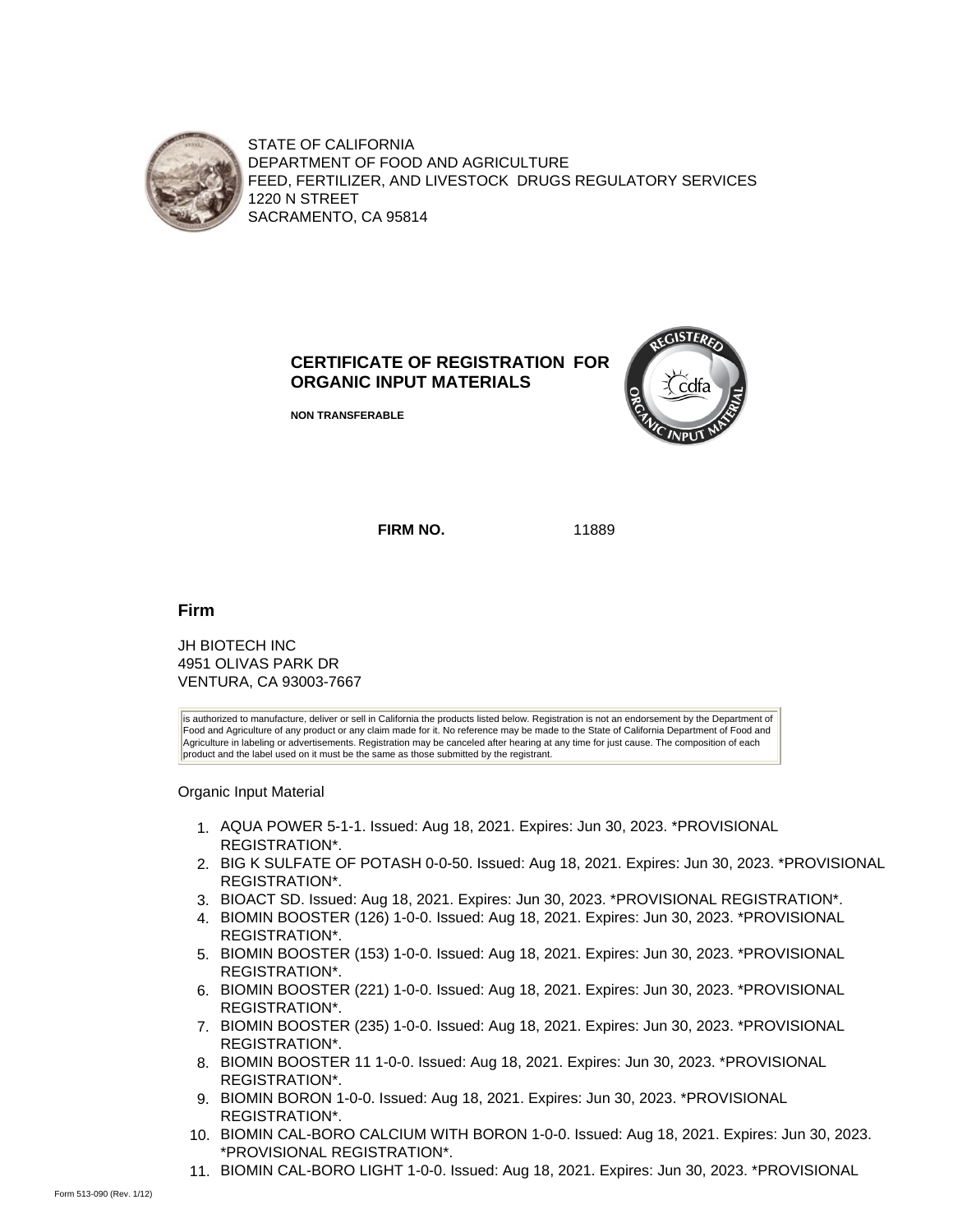

STATE OF CALIFORNIA DEPARTMENT OF FOOD AND AGRICULTURE FEED, FERTILIZER, AND LIVESTOCK DRUGS REGULATORY SERVICES 1220 N STREET SACRAMENTO, CA 95814

## **CERTIFICATE OF REGISTRATION FOR ORGANIC INPUT MATERIALS**

**NON TRANSFERABLE**



**FIRM NO.** 11889

**Firm**

JH BIOTECH INC 4951 OLIVAS PARK DR VENTURA, CA 93003-7667

is authorized to manufacture, deliver or sell in California the products listed below. Registration is not an endorsement by the Department of Food and Agriculture of any product or any claim made for it. No reference may be made to the State of California Department of Food and Agriculture in labeling or advertisements. Registration may be canceled after hearing at any time for just cause. The composition of each product and the label used on it must be the same as those submitted by the registrant.

Organic Input Material

- 1. AQUA POWER 5-1-1. Issued: Aug 18, 2021. Expires: Jun 30, 2023. \*PROVISIONAL REGISTRATION\*.
- 2. BIG K SULFATE OF POTASH 0-0-50. Issued: Aug 18, 2021. Expires: Jun 30, 2023. \*PROVISIONAL REGISTRATION\*.
- 3. BIOACT SD. Issued: Aug 18, 2021. Expires: Jun 30, 2023. \*PROVISIONAL REGISTRATION\*.
- 4. BIOMIN BOOSTER (126) 1-0-0. Issued: Aug 18, 2021. Expires: Jun 30, 2023. \*PROVISIONAL REGISTRATION\*.
- 5. BIOMIN BOOSTER (153) 1-0-0. Issued: Aug 18, 2021. Expires: Jun 30, 2023. \*PROVISIONAL REGISTRATION\*.
- 6. BIOMIN BOOSTER (221) 1-0-0. Issued: Aug 18, 2021. Expires: Jun 30, 2023. \*PROVISIONAL REGISTRATION\*.
- 7. BIOMIN BOOSTER (235) 1-0-0. Issued: Aug 18, 2021. Expires: Jun 30, 2023. \*PROVISIONAL REGISTRATION\*.
- 8. BIOMIN BOOSTER 11 1-0-0. Issued: Aug 18, 2021. Expires: Jun 30, 2023. \*PROVISIONAL REGISTRATION\*.
- 9. BIOMIN BORON 1-0-0. Issued: Aug 18, 2021. Expires: Jun 30, 2023. \*PROVISIONAL REGISTRATION\*.
- 10. BIOMIN CAL-BORO CALCIUM WITH BORON 1-0-0. Issued: Aug 18, 2021. Expires: Jun 30, 2023. \*PROVISIONAL REGISTRATION\*.
- 11. BIOMIN CAL-BORO LIGHT 1-0-0. Issued: Aug 18, 2021. Expires: Jun 30, 2023. \*PROVISIONAL